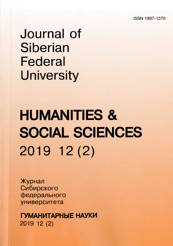**ISSN 1997-1370**

## Journal of Siberian Federal **University**

# HUMANITIES & SOCIAL SCIENCES 2019 12 (2)

Журнал Сибирского федерального университета

ГУМАНИТАРНЫЕ НАУКИ 2019 12 (2)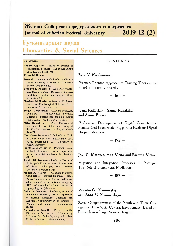**Журнал Сибирского федерального университета Journal of Siberian Federal University 2019 12** (**2**)

## **Гуманитарные науки Humanities & Social Sciences**

#### **C hief Editor**

Natalia Koptseva - Professor, Droctor of Philosophical Sciences, Head of Department of Culture Studies (SFU).

#### **Editorial Board**

- **David G. Anderson,** PhD, Professor, Chair in the Anthropology of the North at University of Aberdeen, Scotland.
- **Evgeniya E. Anisimova** Doctor of Philological Sciences, Deputy Director for Science, Institute of Philology and Language Communication (SFU)
- **Gershons M. Breslavs**  Associate Professor, Doctor of Psychological Sciences, Baltic International Academy, Latvia.
- **Sergey** V. **Devyatkin** Associate Professor, Candidate of Philosophical Sciences, Director of Interregional Institute of Social Sciences (Novgorod State University).
- **Milan Damohorsky Ph.D, Professor of** environmental law at the Law Faculty of the Charles University in Prague, Czech Republic.
- Hans-Georg Dederer Ph.D. Professor, Chair of Constitutional and Administrative Law, Public International Law (University of Passau, Germany).
- **Sergey A. Drobyshevsky** Professor, Doctor of Juridical Sciences, Head of Department of History of State and Law at Law Institute (SFU).
- **Tapdyg Kh. Kerimov** Professor, Doctor of Philosophical Sciences, Head of Department of Social Philosophy (Ural Federal University, Yekaterinburg).
- **M odest** A. **Kolerov**  Associate Professor, Candidate of Historical Sciences, 1 grade Active State Advisor of Russian Federation, editor-in-chief of the information agency REX, editor-in-chief of the information agency Rcgnum (Moscow).
- **Galina** A. **Kopnina** Professor, Doctor of Philological Sciences, Head of Department of Russian Language, Literature and Language Communication at Institute of Philology and Language Communication (SFU).
- **Alexander A. Kronik** Ph.D., Scientific Director of the Institute of Causometry LifcLook.Nct (Bcthcsda, Maryland, USA); Professor (Howard University, USA).

#### **C O N T E N T S**

#### **Vera V. Korshunova**

Practice-Oriented Approach to Training Tutors at the Siberian Federal University

 $-164-$ 

#### **Jaana Kullaslahti, Sanna Ruhalahti and Sanna Brauer**

Professional Development of Digital Competences: Standardised Frameworks Supporting Evolving Digital Badging Practices

**- 175 -**

#### **Jose Co Marques, A na Vieira and Ricardo Vieira**

Migration and Integration Processes in Portugal: The Role of Intercultural Mediation

**- 187 -**

#### **Valentin G . Nemirovskiy and Anna V. Nemirovskaya**

Social Competitiveness of the Youth and Their Perceptions of the Socio-Cultural Environment (Based on Research in a Large Siberian Region)

**- 206 -**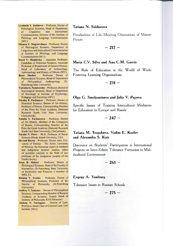- Liudmila V. Kulikova Professor, Doctor of Philological Sciences, Head of Department of Linguistics and Intercultural Communication, Director of the Institute of Philology and Language Communication (SFU).
- **Oksana V. Magirovskaya**  Professor, Doctor of Philological Sciences, Department of Linguistics and Intcrcultural Communication at Institute of Philology and Language Communication (SFU).
- **Pavel** V. **Mandryka**  Associate Professor, Candidate of Historical Sciences, Associate Professor of Department of General History, Head of Laboratory of Archaeology, Anthropology and History of Siberia (SFU).
- Boris Markov Professor, Doctor of Philosophical Sciences, Head of Department of Philosophical Anthropology (St-Petersburg State University).
- Valentin G. Nemirovsky-Professor, Doctor of Sociological Sciences, Head of Department of Sociology at Institute of Psychology, Pedagogy and Sociology (SFU).
- Nicolay P. Parfentyev Professor, Doctor of Historical Sciences, Doctor of Art History, Professor of History, Corresponding Member of the Peter the Great Academy (National Research South Ural State University, Chelyabinsk).
- **Natalia** V. **Parfentyeva**  Professor, Doctor of Art History, Member of the Composers of Russia, Corresponding Member of the Peter the Great Academy (National Research South Ural State University, Chelyabinsk).
- Nicolai N. Petro Ph.D, Professor of Social Sciences Rhode Island University, USA.
- Øyvind Ravna Professor, Doctor Juris, University of Tromsø - The Arctic University of Norway; the European expert in northern and indigenous peoples' studies; editor of scientific journals in the field of law problems of the indigenous peoples of the North (Arctic).
- **Irina B. Rubert Professor, Doctor of** Philological Sciences, Dean of the Faculty of Humanities (St-Petersburg State University of Economics and Finance); a member of SPELTA.
- **Roman V. Svetlov**  Professor, Doctor of Philosophical Sciences, Professor of the Faculty of Philosophy (St-Petersburg University).
- Andrey V. Smirnov Doctor of Philosophical Sciences, Corresponding Member of Russian Academy of Sciences, Deputy Head of Institute of Philosophy RAS (Moscow).
- Aleksey N. Tarbagaev Doctor of Law, Professor, Head Chair of Criminal Law, Law Institute (SFU).

#### **Tatiana N . Sakharova**

Peculiarities of Life-Meaning Orientations of Mature People

**- 217 -**

#### **Maria C.V. Silva and Ana C.M. Garcia**

The Role of Education in the World of Work: Fostering Learning Organisations

**- 231 -**

#### **O lga G . Smolyaninova and Julia V. Popova**

Specific Issues of Training Intercultural Mediators for Education in Europe and Russia

**- 247 -**

#### Tatiana M. Tregubova, Vadim E. Kozlov **and Alexandra S . Kats**

Discource on Students' Participation in International Projects on Inter-Ethnic Tolerance Formation in Multicultural Environment

$$
-261-
$$

#### **Evgeny A. Yamburg**

Tolerance Issues in Russian Schools

 $- 275 -$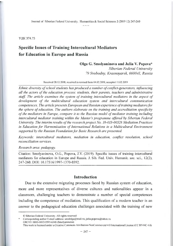УДК 374.73

## Specific Issues of Training Intercultural Mediators **for Education in Europe and Russia**

#### **Olga G. Smolyaninova and Julia V. Popova\***

*Siberian Federal University 79 Svobodny, Krasnoyarsk, 660041, Russia*

Received 28.12.2018, received in revised form 04.02.2019, accepted 11.02.2019

*Ethnic diversity of school students has produced a number of conflict-generators, influencing all the actors o f the education process: students, their parents, teachers and administrative* staff. The article examines the system of training intercultural mediators in the aspect of development of the multicultural education system and intercultural communication competences. The article presents European and Russian experience of training mediators for *the sphere of education. The authors elaborate on the training and accreditation specificity* of the mediators in Europe, compare it to the Russian model of mediator training including *intercultural mediator training within the Master's programme offered by Siberian Federal University. The interim results of the research project No. 18-013-00528 Mediation Practices* in Education for Harmonization of International Relations in a Multicultural Environment supported by the Russian Foundation for Basic Research are presented.

*Keywords: intercultural mediators, mediation in education, conflict resolution, school reconciliation services.*

#### *Research area: pedagogy.*

Citation: Smolyaninova, O.G., Popova, J.V. (2019). Specific issues of training intercultural mediators for education in Europe and Russia. J. Sib. Fed. Univ. Humanit. soc. sci., 12(2), 247-260. DOI: 10.17516/1997-1370-0392.

#### **Introduction**

Due to the extensive migrating processes faced by Russian system of education, more and more representatives of diverse cultures and nationalities appear in a classroom, challenging teachers to demonstrate a number of special competences including the competence of mediation. This qualification of a modern teacher is an answer to the pedagogical education challenges associated with the training of new

Corresponding author E-mail address: smololga@mail.ru; julia.popova@inbox.ru ORCID: 0000-0002-5597-6348 (Smolyaninova)

<sup>©</sup> Siberian Federal University. All rights reserved

This work is licensed under a Creative Commons Attribution-NonCommercial 4.0 International License (CC BY-NC 4.0).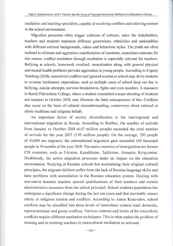mediation and teaching specialists, capable of resolving conflicts and relieving tension in the school environment.

Migration processes often trigger collision of cultures, since the stakeholders, teachers and students represent different generations, ethnicities and nationalities with different cultural backgrounds, values and behaviour styles. The youth are often inclined to ultimate and aggressive manifestation of emotions, sometimes extreme; for this reason, conflict resolution through mediation is especially relevant for teachers. Bullying at schools, homework overload, neurotisation along with general physical and mental health problems provoke aggression in young people. According to Evgeny Yamburg (2018), unresolved conflicts and ignored tension at school may drive students to extreme intolerance expressions, such as multiple cases of school drop out due to bullying, suicide attempts, nervous breakdowns, fights and even murders. A massacre in Kerch Polytechnic College, where a student committed a mass shooting of students and teachers in October 2018, may illustrate the fatal consequences of this. Conflicts also occur on the basis of cultural misunderstanding, controversy about national or ethnic traditions and religious beliefs.

An important factor of society diversification is the interregional and international migration in Russia. According to RosStat, the number of arrivals from January to October 2018 (4.07 million people) exceeded the total number of arrivals for the year 2017 (3.95 million people). On the average, 350 people of 10,000 are migrants; the international migration gain exceeded 100 thousand people in 10 months of the year 2018. The main countries of immigration are former CIS countries, such as Ukraine, Kazakhstan, Tajikistan, Armenia, Kyrgyzstan. Doubtlessly, the active migration processes make an impact on the education environment. Studying at Russian schools but maintaining their original cultural principles, the migrant children suffer from the lack of Russian language skills and have problems with assimilation in the Russian education system. Dealing with non-native learners requires special qualifications of their teachers and certain administrative measures from the school principal. School students population has undergone a significant change during the last ten years and that inevitably causes ethnic or religious tension and conflicts. According to Anton Konovalov, school conflicts may be classified into three levels of interethnic context load: domestic, representational and group conflicts. Various contexts and levels of the interethnic conflicts require different mediation techniques. This is what makes the problem of training and re-training teachers in intercultural mediation so relevant.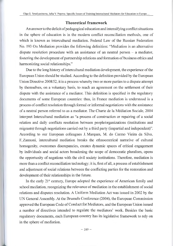#### **Theoretical framework**

An answer to the deficit of pedagogical education and intensifying conflict situations in the sphere of education is in the modern conflict reconciliation methods, one of which is known as intercultural mediation. Federal Law of the Russian Federation No. 193 On Mediation provides the following definition: "Mediation is an alternative dispute resolution procedure with an assistance of an neutral person - a mediator, fostering the development of partnership relations and formation of business ethics and harmonizing social relationships."

Due to the long history of intercultural mediation development, the experience of the European Union should be studied. According to the definition provided by the European Union Directive 2008/52, it is a process whereby two or more parties to a dispute attempt by themselves, on a voluntary basis, to reach an agreement on the settlement of their dispute with the assistance of a mediator. This definition is specified in the regulatory documents of some European countries: thus, in France mediation is understood is a process of conflict resolution through formal or informal negotiations with the assistance of a neutral person referred to as a mediator. The Charte de la Mediation Sociale, 2004 interpret Intercultural mediation as "a process of construction or repairing of a social relation and daily conflicts resolution between people/organizations (institutions and migrants) through negotiations carried out by a third party (impartial and independent)". According to our European colleagues J. Marques, M. do Carmo Vieira da Silva, F. Zannoni, intercultural mediation breaks the ethnocentrical narrative of cultural homogenity, overcomes discrepancies, creates dynamic spaces of critical engagement by individuals and social actors broadening the scope of democratic pluralism, opens the opportunity of negations with the civil society institutions. Therefore, mediation is more than a conflict reconciliation technology; it is, first of all, a process of establishment and adjustment of social relations between the conflicting parties for the restoration and development of their relationships in the future.

In the early 21<sup>st</sup> century, Europe adopted the experience of American family and school mediation, recognizing the relevance of mediation in the establishment of social relations and disputes resolution. A Uniform Mediation Act was issued in 2002 by the UN General Assembly. At the Brussels Conference (2004), the European Commission approved the European Code of Conduct for Mediators, and the European Union issued a number of directives intended to regulate the mediators' work. Besides the basic regulatory documents, each European country has its legislative framework to rely on in the sphere of mediation.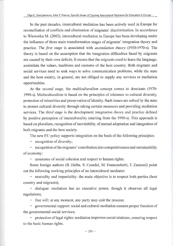1

In the past decades, intercultural mediation has been actively used in Europe for reconciliation of conflicts and elimination of migrants' discrimination. In accordance to Wieworka M. (2002), intercultural mediation in Europe has been developing under the influence of three main transformation stages of migrants' integration theory and practice. *The first stage* is associated with *assimilation theory* (1950-1970-s). The theory is based on the assumption that the integration difficulties faced by migrants are caused by their own deficits. It means that the migrants need to learn the language, assimilate the values, traditions and customs of the host country. Both migrants and social services need to seek ways to solve communication problems, while the state and the host society, in general, are not obliged to supply any services or mediation opportunities.

At the *second stage,* the *multiculturalism* concept comes to dominate (1970- 1990-s). Multiculturalism is based on the principles of tolerance to cultural diversity, protection of minorities and preservation of identity. Such issues are solved by the state to protect cultural diversity through taking certain measures and providing mediation services. The *third stage* is the development *integration theory* and practice defined by positive perception of interculturality (starting from the 1990-s). This approach is based on pluralism, recognition of inevitability of mutual adaptation and integration of both migrants and the host society.

The new EU policy supports integration on the basis of the following principles:

- recognition of diversity;

- recognition of the migrants' contribution into competitiveness and sustainability of economy;

- assurance of social cohesion and respect to human rights.

Some foreign authors (B. Halba, S. Casadei, M. Franceschetti, F. Zannoni) point out the following working principles of an intercultural mediator:

- neutrality and impartiality: the main objective is to respect both parties (host country and migrants);

- dialogue: mediation has no executive power, though it observes all legal regulations;

- free will: at any moment, any party may quit the process;

- governmental support: social and cultural mediation ensures proper function of the governmental social services;

- protection of legal rights: mediation improves social relations, ensuring respect to the basic human rights.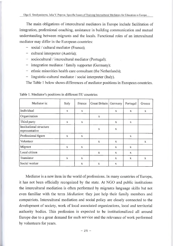The main obligations of intercultural mediators in Europe include facilitation of integration, professional coaching, assistance in building communication and mutual understanding between migrants and the locals. Functional roles of an intercultural mediator may differ in the European countries:

- social / cultural mediator (France);
- cultural interpreter (Austria);
- sociocultural / intercultural mediator (Portugal);
- integration mediator / family supporter (Germany);
- ethnic minorities health care consultant (the Netherlands);
- linguistic-cultural mediator / social interpreter (Italy).

The Table 1 below shows differences of mediator positions in European countries.

| Mediator is:                              | Italy        | France       | Great Britain | Germany      | Portugal     | Greece       |
|-------------------------------------------|--------------|--------------|---------------|--------------|--------------|--------------|
| Individual                                | $\mathbf{x}$ | X            |               | X            | X            | $\mathbf{x}$ |
| Organization                              |              |              | $\bf{X}$      |              |              |              |
| Third party                               | $\mathbf{x}$ | X            |               | X            | X            |              |
| Institutional structure<br>representative |              |              | $\mathbf{x}$  | $\mathbf{X}$ |              |              |
| Professional figure                       | X            | X            |               |              | X            |              |
| Volunteer                                 |              |              | X             | X            |              | $\mathbf{x}$ |
| Migrant                                   | $\mathbf{x}$ | $\mathbf{x}$ |               | X            | $\mathbf{x}$ |              |
| Local citizen                             |              |              | X             | $\mathbf x$  | X            |              |
| Translator                                | $\mathbf{x}$ | X            |               | X            | $\mathbf{x}$ | $\mathbf{x}$ |
| Social worker                             |              | X            | $\mathbf{X}$  | X            |              |              |

Table 1. Mediator's positions in different EU countries

Mediator is a new item in the world of professions. In many countries of Europe, it has not been officially recognized by the state. At NGO and public institutions the intercultural mediation is often performed by migrants language skills but not even familiar with the term *Mediation',* they just help their family members and compatriots. Intercultural mediation and social policy are closely connected to the development of society, work of local associated organizations, local and territorial authority bodies. This profession is expected to be institutionalized all around Europe due to a great demand for such service and the relevance of work performed by volunteers for years.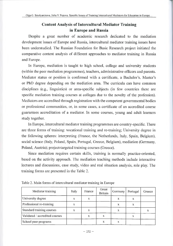### **Content Analysis of Intercultural Mediator Training in Europe and Russia**

Despite a great number of academic research dedicated to the mediation development issues of Europe and Russia, intercultural mediator training issues have been understudied. The Russian Foundation for Basic Research project initiated the comparative content analysis of different approaches to mediator training in Russia and Europe.

In Europe, mediation is taught to high school, college and university students (within the peer mediation programmes), teachers, administrative officers and parents. Mediator status or position is confirmed with a certificate, a Bachelor's, Master's or PhD degree depending on the mediation area. The curricula can have common disciplines (e.g., linguistics) or area-specific subjects (in few countries there are specific mediation training courses at colleges due to the novelty of the profession). Mediators are accredited through registration with the competent governmental bodies or professional communities, or, in some cases, a certificate of an accredited course guarantees accreditation of a mediator. In some courses, young and adult learners study together.

In Europe, intercultural mediator training programmes are country-specific. There are three forms of training: vocational training and re-training; University degree in the following spheres: interpreting (France, the Netherlands, Italy, Spain, Belgium), social science (Italy, Poland, Spain, Portugal, Greece, Belgium), mediation (Germany, Poland, Austria); project-targeted training courses (Greece).

Since mediation requires certain skills, training is normally practice-oriented, based on the activity approach. The mediation teaching methods include interactive lectures and discussions, case study, video and real situation analysis, role play. The training forms are presented in the Table 2.

| Mediator training              | Italy | France | Great<br><b>Britain</b> | Germany | Portugal | Greece |
|--------------------------------|-------|--------|-------------------------|---------|----------|--------|
| University degree              | х     |        |                         | x       | x        |        |
| Professional re-training       | X     |        |                         | X       | X        |        |
| Standard training courses      | x     | x      |                         | x       |          | X      |
| Validated / accredited courses |       | x      | x                       |         | x        |        |
| School peer programs           |       |        |                         | x       |          |        |

Table 2. Main forms of intercultural mediator training in Europe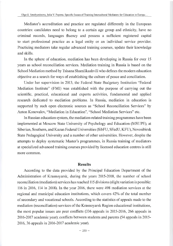Mediator's accreditation and practice are regulated differently in the European countries: candidates need to belong to a certain age group and ethnicity, have no criminal records, languages fluency and possess a sufficient registered capital to start professional practice as a legal entity or an individual service provider. Practicing mediators take regular advanced training courses, update their knowledge and skills.

In the sphere of education, mediation has been developing in Russia for over 15 years as school reconciliation services. Mediation training in Russia is based on the School Mediation method by Tsisana Shamlikashvili who defines the modern education objective as a search for ways of establishing the culture of peace and conciliation.

Under her supervision in 2013, the Federal State Budgetary Institution "Federal Mediation Institute" (FMI) was established with the purpose of carrying out the scientific, practical, educational and experts activities, fundamental and applied research dedicated to mediation problems. In Russia, mediation in education is supported by such open electronic sources as "School Reconciliation Services" by Anton Konovalov, "Mediation in Education", "School Mediation Services" etc.

In Russian education system, the mediation-related training programmes have been implemented at Moscow State University of Psychology and Education (MSUPE), at Siberian, Southern, and Kazan Federal Universities (SibFU, SFedU, KFU), Novosibirsk State Pedagogical University and a number of other universities. However, despite the attempts to deploy systematic Master's programmes, in Russia training of mediators at specialized advanced training courses provided by licensed education centres is still more common.

#### **Results**

According to the data provided by the Principal Education Department of the Administration of Krasnoyarsk, during the years 2015-2018, the number of school reconciliation (mediation) services has reached 115 divisions (slight variation is possible: 116 in 2016, 114 in 2018). In the year 2016, there were 498 mediation services at the regional and municipal education institutions, which covers 42% of the total number of secondary and vocational schools. According to the statistics of appeals made to the mediation (reconciliation) services of the Krasnoyarsk Region educational institutions, the most popular issues are peer conflicts (336 appeals in 2015-2016, 266 appeals in 2016-2017 academic year); conflicts between students and parents (54 appeals in 2015- 2016, 36 appeals in 2016-2017 academic year).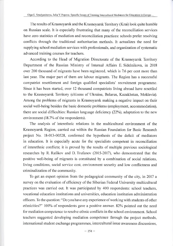The results of Krasnoyarsk and the Krasnoyarsk Territory (Krai) look quite humble on Russian scale. It is especially frustrating that many of the reconciliation services have zero statistics of mediation and reconciliation practices: schools prefer resolving conflicts through the traditional authoritarian methods. It actualizes the need for supplying school mediation services with professionals, and organization of systematic advanced training courses for teachers.

According to the Head of Migration Directorate of the Krasnoyarsk Territory Department of the Russian Ministry of Internal Affairs E. Sidelnikova, in 2018 over 200 thousand of migrants have been registered, which is 7.6 per cent more than last year. The major part of them are labour migrants. The Region has a successful compatriot resettlement and foreign qualified specialists' recruitment programme. Since it has been started, over 12 thousand compatriots living abroad have resettled to the Krasnoyarsk Territory (citizens of Ukraine, Belarus, Kazakhstan, Moldavia). Among the problems of migrants in Krasnoyarsk making a negative impact on their social well-being besides the basic domestic problems (employment, accommodation), there are social difficulties: Russian language deficiency (22%), adaptation to the new environment (18.7% of the respondents).

The analysis of interethnic relations in the multicultural environment of the Krasnoyarsk Region, carried out within the Russian Foundation for Basic Research project No. 18-013-00528, confirmed the hypothesis of the deficit of mediators in education. It is especially acute for the specialists competent in reconciliation of interethnic conflicts; it is proved by the results of multiple previous sociological researches by R. Rafikov and D. Trufanov (2015-2017), who demonstrated that the positive well-being of migrants is constituted by a combination of social relations, living conditions, social service cost, environment security and low conflictness and criminalization of the community.

To get an expert opinion from the pedagogical community of the city, in 2017 a survey on the evaluation of efficiency of the Siberian Federal University multicultural practices was carried out. It was participated by 400 respondents: school teachers, vocational education institutions and universities, education institution administration officers. To the question: "Do you have any experience of working with students of other ethnicities?" 100% of respondents gave a positive answer. 82% pointed out the need for mediation competence to resolve ethnic conflicts in the school environment. School teachers suggested developing mediation competence through the project methods, international student exchange programmes, intercultural issue awareness discussions,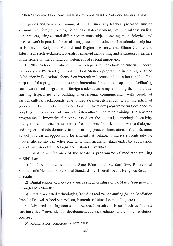quest games and advanced training at SibFU. University teachers proposed running seminars with foreign students, dialogue skills development, intercultural case studies, joint projects, using cultural differences in some subject teaching, methodological and research work in practice. It was also suggested to introduce such academic disciplines as History of Religions, National and Regional History, and Ethnic Culture and Lifestyle as elective classes. It was also remarked that training and retraining of teachers in the sphere of intercultural competence is of special importance.

In 2018, School of Education, Psychology and Sociology of Siberian Federal University (SEPS SibFU) opened the first Master's programme in the region titled "Mediation in Education", focused on intercultural context of education conflicts. The purpose of the programme is to train intercultural mediators capable of facilitating socialization and integration of foreign students, assisting in finding their individual learning trajectories and building interpersonal communication with people of various cultural backgrounds, able to mediate intercultural conflicts in the sphere of education. The content of the "Mediation in Education" programme was designed by adopting the experience of European intercultural mediation training. The Master's programme is innovative for being based on the cultural, acmeological, activity theory and competence-based approaches and practice-orientation. Active dialogues and project methods dominate in the learning process. International Youth Summer School provides an opportunity for efficient networking, immerses students into the problematic contexts in active practicing their mediation skills under the supervision of visit professors from Bologna and Lisbon Universities.

The distinctive features of the Master's programme of mediator training at SibFU are:

1) It relies on three standards: State Educational Standard 3++, Professional Standard of a Mediator, Professional Standard of an Interethnic and Religious Relations Specialist;

2) Digital support of modules, courses and internships of the Master's programme through LMS Moodle;

3) Practice-oriented technologies, including real event planning (School Mediation Practice Festival, school supervision, intercultural situation modelling etc.);

4) Advanced training courses on various intercultural issues (such as "I am a Russian citizen" civic identity development course, mediation and conflict resolution courses);

5) Round tables, conferences, seminars;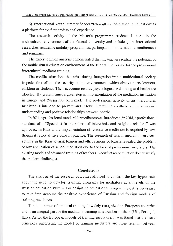6) International Youth Summer School "Intercultural Mediation in Education" as a platform for the first professional experience.

The research activity of the Master's programme students is done in the multicultural environment of the Federal University and includes joint international researches, academic mobility programmes, participation in international conferences and seminars.

The expert opinion analysis demonstrated that the teachers realize the potential of the multicultural education environment of the Federal University for the professional intercultural mediator training.

The conflict situations that arise during integration into a multicultural society impede, first of all, the security of the environment, which always hurts learners, children or students. Their academic results, psychological well-being and health are affected. By present time, a great step in implementation of the mediation institution in Europe and Russia has been made. The professional activity of an intercultural mediator is intended to prevent and resolve interethnic conflicts, improve mutual understanding and positive relationships between people.

In 2014, a professional standard for mediators was introduced; in 2018, a professional standard of a "Specialist in the sphere of interethnic and religious relations" was approved. In Russia, the implementation of restorative mediation is required by law, though it is not always done in practice. The research of school mediation services' activity in the Krasnoyarsk Region and other regions of Russia revealed the problem of low application of school mediation due to the lack of professional mediators. The existing models of advanced training of teachers in conflict reconciliation do not satisfy the modern challenges.

#### **Conclusions**

The analysis of the research outcomes allowed to confirm the key hypothesis about the need to develop training programs for mediators at all levels of the Russian education system. For designing educational programmes, it is necessary to take into account the positive experience of Russian and foreign models of training mediators.

The importance of practical training is widely recognized in European countries and is an integral part of the mediators training in a number of them (UK, Portugal, Italy). As for the European models of training mediators, it was found that the basic principles underlying the model of training mediators are close relation between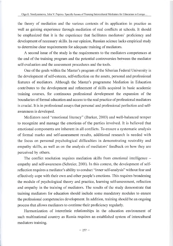the theory of mediation and the various contexts of its application in practice as well as gaining experience through mediation of real conflicts at schools. It should be emphasized that it is the experience that facilitates mediators' proficiency and development of necessary skills. In our opinion, Russian science lacks empirical study to determine clear requirements for adequate training of mediators.

A second issue of the study is the requirements to the mediators competences at the end of the training program and the potential controversies between the mediator self-evaluation and the assessment procedures and the tools.

One of the goals within the Master's program of the Siberian Federal University is the development of self-esteem, self-reflection on the assets, personal and professional features of mediators. Although the Master's programme Mediation in Education contributes to the development and refinement of skills acquired in basic academic training courses, for continuous professional development the expansion of the boundaries of formal education and access to the real practice of professional mediators is crucial. It is in professional assays that personal and professional perfection and selfawareness is developed.

Mediators need "emotional literacy" (Barker, 2003) and well-balanced temper to recognize and manage the emotions of the parties involved. It is believed that emotional components are inherent in all conflicts. To ensure a systematic analysis of formal marks and self-assessment results, additional research is needed with the focus on personal psychological difficulties in demonstrating neutrality and empathy skills, as well as on the analysis of mediators' feedback on how they are perceived by others.

The conflict resolution requires mediation skills from emotional intelligence – empathy and self-awareness (Schreier, 2001). In this context, the development of selfreflection requires a mediator's ability to conduct "inner self-analysis" without fear and effectively cope with their own and other people's emotions. This requires broadening the module of psychological theory and practice, learning self-assessment, reflection and empathy in the training of mediators. The results of the study demonstrate that training mediators for education should include some mandatory modules to ensure the professional competencies development. In addition, training should be an ongoing process that allows mediators to continue their proficiency regularly.

Harmonization of interethnic relationships in the education environment of such multinational country as Russia requires an established system of intercultural mediators training.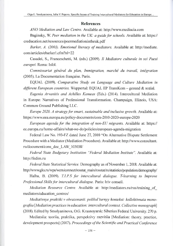#### **References**

ANO Mediation and Law Centre. Available at: <http://www.mediacia.com>

Baginsky, W. *Peer mediation in the UK: a guide for schools.* Available at: https:// creducation.net/resources/peermediationintheuk.pdf

Barker, A. (2003). Emotional literacy of mediators. Available at: [http://mediate.](http://mediate) com/articles/ebarkerl .cfm?nl=22

Casadei, S., Franceschetti, M. (eds.) (2009). *11 Mediatore culturale in sei Paesi europei.* Roma: Isfol.

*Commissariat general du plan, Immigration, marche du travail, integration* (2005). La Documentation franqaise. Paris.

EQUAL (2009). *Comparative Study on Language and Culture Mediation in* different European countries. Wuppertal: EQUAL EP TransKom - gesund & sozial.

*Eugenia Arvanitis and Achilles Kameas* (Eds.) (2014). Intercultural Mediation in Europe: Narratives of Professional Transformation. Champaign, Illinois, USA: Common Ground Publishing LLC.

*Europe 2020. A strategy for smart, sustainable and inclusive growth.* Available at: <https://www.eea.europa.eu/policy-documents/com-2010-2020-europe-2020>

*European agenda for the integration of non-EU migrants.* Available at: https:// ec.europa.eu/home-affairs/what-we-do/policies/european-agenda-migration

Federal Law No. 193-FZ dated June 27, 2010 "On Alternative Dispute Settlement Procedure with a Mediator (Mediation Procedure). Available at: [http://www.consultant.](http://www.consultant) ru/document/cons\_doc\_L AW\_103 03 8/

*Federal State Budgetary Institution "Federal Mediation Institute".* Available at: <http://fedim.ru>

*Federal State Statistical Service.* Demography as of November 1,2018. Available at: http://www.gks.ru/wps/wcm/connect/rosstat\_main/rosstat/ru/statistics/population/demography/

Halba, B. (2009). *T.I.P.S for intercultural dialogue. T-learning to Improve Professional Skills for intercultural dialogue.* Paris: Iriv conseil.

*Mediation Resource Centre.* Available at: [http://mediators.ru/rus/training\\_of\\_](http://mediators.ru/rus/training_of_)  mediators/education\_centres/

*Mediativnye praktiki v obrazovanii: polikuVturnyy kontekst: kollektivnaia monografiia [Mediationpractices in education: intercultural context. Collective monograph]* (2018). Edited by Smolyaninova, O.G. Krasnoyarsk: Siberian Federal University. 270 p.

Mediatsiia: teoriia, praktika, perspektivy razvitiia [Mediation: theory, practice, development prospects<sup>[2017]</sup>. *Proceedings of the Scientific and Practical Conference*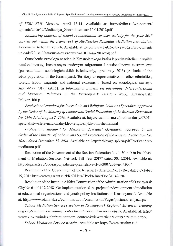of FSBI FMI, Moscow, April 13-14. Available at: <http://fedim.ru/wp-content/> uploads/2016/12/Mediatsiya Sbornik-tezisov-12.04.2017.pdf

*Monitoring analysis of school reconciliation services activity for the year 2017* carried out within the framework of All-Russian Remedial Mediation Association. Konovalov Anton Iuryevich. Available at: <http://www.8-926-145-87-01.ru/wp-content/> uploads/2013/10/Анализ-мониторинга-ШСП-за-2017-год. pdf

Otnoshenie vzroslogo naseleniia Krasnoiarskogo kraiia к predstaviteliam drugikh natsional'nostey, inostrannym trudovym migrantam i natsional'nomu ekstremizmu (po rezul'tatam sotsiologicheskikh issledovaniy, aprel'-may 2015) [Attitude of the adult population of the Krasnoyarsk Territory to representatives of other ethnicities, foreign labour migrants and national extremism (based on sociological surveys, April-May 2015)] (2015). In *Information Bulletin on Interethnic, Interconfessional and Migration Relations in the Krasnoyarsk Territory No.9).* Krasnoyarsk: Polikor, 160 p.

*Professional standard for Interethnic and Religious Relations Specialist, approved* by the Order of the Ministry of Labour and Social Protection of the Russian Federation *No. 514h dated August 2, 2018.* Available at: [http://classinform.ru/profstandarty/07.011](http://classinform.ru/profstandarty/07.011-)  spetcialist-v-sfere-natcionalnykh-i-religioznykh-otnoshenii.html

*Professional standard for Mediation Specialist (Mediator), approved by the Order of the Ministry of Labour and Social Protection of the Russian Federation No. 1041h dated December 15, 2014.* Available at: [http://arbitrage.spb.ru/pdf/Profstandart](http://arbitrage.spb.ru/pdf/Profstandart-)mediatora.pdf

Resolution of the Government of the Russian Federation No. 1430-p "On Establishment of Mediation Services Network Till Year 2017" dated 30.07.2014. Available at: <http://legalacts.ru/doc/rasporjazhenie-pravitelstva-rf-ot-30072014-n-1430-r/>

Resolution of the Government of the Russian Federation No. 1916-p dated October 15, 2012 <http://www.garant.ru/PRoDUcts/IPo/PRIme/Doc/70142628/>

Resolution of the Juvenile Affairs Commission of the Administration of Krasnoyarsk City No.6 of 04.12.2018 "On implementation of the project for development of mediation at educational organizations and youth policy institutions of Krasnoyarsk". Available at: <http://www.admkrsk.ru/administration/commission/Pages/postanovleniya.aspx>

School Mediation Services section of Krasnoyarsk Regional Advanced Training *and Professional Retraining Centre for Education Workers website.* Available at: http:// www.kipk.ru/index.php?option=com\_content&view=article&id=1977&Itemid=556

*School Mediation Service website.* Available at: <https://www.russhm.ru/>